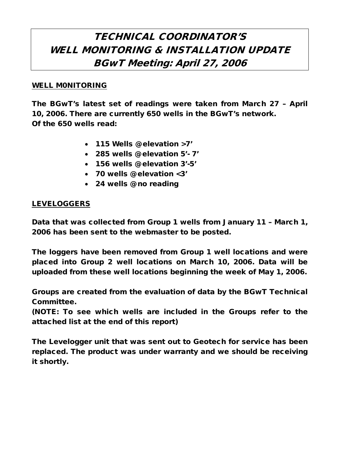# TECHNICAL COORDINATOR'S WELL MONITORING & INSTALLATION UPDATE BGwT Meeting: April 27, 2006

#### WELL M0NITORING

The BGwT's latest set of readings were taken from March 27 – April 10, 2006. There are currently 650 wells in the BGwT's network. Of the 650 wells read:

- 115 Wells @ elevation >7'
- 285 wells @ elevation 5'- 7'
- 156 wells @ elevation 3'-5'
- 70 wells @ elevation <3'
- 24 wells @ no reading

## LEVELOGGERS

Data that was collected from Group 1 wells from January 11 – March 1, 2006 has been sent to the webmaster to be posted.

The loggers have been removed from Group 1 well locations and were placed into Group 2 well locations on March 10, 2006. Data will be uploaded from these well locations beginning the week of May 1, 2006.

Groups are created from the evaluation of data by the BGwT Technical Committee.

(NOTE: To see which wells are included in the Groups refer to the attached list at the end of this report)

The Levelogger unit that was sent out to Geotech for service has been replaced. The product was under warranty and we should be receiving it shortly.